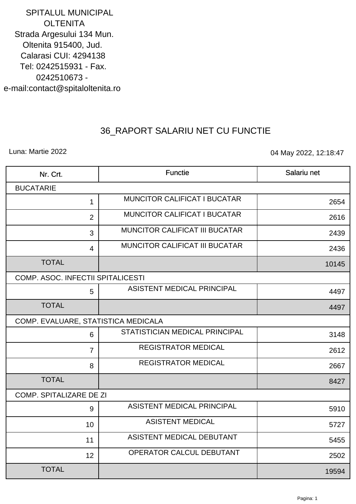**SPITALUL MUNICIPAL OLTENITA** Strada Argesului 134 Mun. Oltenita 915400, Jud. **Calarasi CUI: 4294138** Tel: 0242515931 - Fax. 0242510673 e-mail:contact@spitaloltenita.ro

## 36\_RAPORT SALARIU NET CU FUNCTIE

Luna: Martie 2022

04 May 2022, 12:18:47

| Nr. Crt.                            | Functie                             | Salariu net |
|-------------------------------------|-------------------------------------|-------------|
| <b>BUCATARIE</b>                    |                                     |             |
| 1                                   | <b>MUNCITOR CALIFICAT I BUCATAR</b> | 2654        |
| 2                                   | <b>MUNCITOR CALIFICAT I BUCATAR</b> | 2616        |
| 3                                   | MUNCITOR CALIFICAT III BUCATAR      | 2439        |
| $\overline{4}$                      | MUNCITOR CALIFICAT III BUCATAR      | 2436        |
| <b>TOTAL</b>                        |                                     | 10145       |
| COMP. ASOC. INFECTII SPITALICESTI   |                                     |             |
| 5                                   | ASISTENT MEDICAL PRINCIPAL          | 4497        |
| <b>TOTAL</b>                        |                                     | 4497        |
| COMP. EVALUARE, STATISTICA MEDICALA |                                     |             |
| 6                                   | STATISTICIAN MEDICAL PRINCIPAL      | 3148        |
| $\overline{7}$                      | <b>REGISTRATOR MEDICAL</b>          | 2612        |
| 8                                   | <b>REGISTRATOR MEDICAL</b>          | 2667        |
| <b>TOTAL</b>                        |                                     | 8427        |
| <b>COMP. SPITALIZARE DE ZI</b>      |                                     |             |
| 9                                   | ASISTENT MEDICAL PRINCIPAL          | 5910        |
| 10                                  | <b>ASISTENT MEDICAL</b>             | 5727        |
| 11                                  | ASISTENT MEDICAL DEBUTANT           | 5455        |
| 12                                  | OPERATOR CALCUL DEBUTANT            | 2502        |
| <b>TOTAL</b>                        |                                     | 19594       |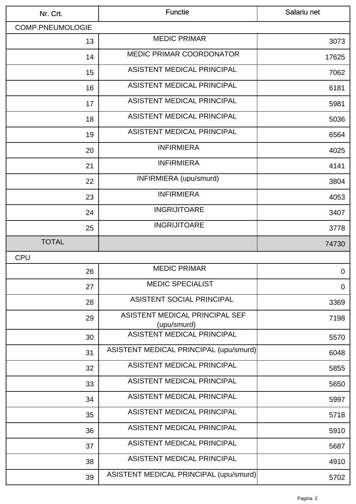| <b>COMP.PNEUMOLOGIE</b><br><b>MEDIC PRIMAR</b><br>13<br><b>MEDIC PRIMAR COORDONATOR</b><br>14<br><b>ASISTENT MEDICAL PRINCIPAL</b><br>15<br><b>ASISTENT MEDICAL PRINCIPAL</b><br>16<br>ASISTENT MEDICAL PRINCIPAL<br>17<br><b>ASISTENT MEDICAL PRINCIPAL</b><br>18 | 3073<br>17625<br>7062<br>6181 |
|--------------------------------------------------------------------------------------------------------------------------------------------------------------------------------------------------------------------------------------------------------------------|-------------------------------|
|                                                                                                                                                                                                                                                                    |                               |
|                                                                                                                                                                                                                                                                    |                               |
|                                                                                                                                                                                                                                                                    |                               |
|                                                                                                                                                                                                                                                                    |                               |
|                                                                                                                                                                                                                                                                    |                               |
|                                                                                                                                                                                                                                                                    | 5981                          |
|                                                                                                                                                                                                                                                                    | 5036                          |
| ASISTENT MEDICAL PRINCIPAL<br>19                                                                                                                                                                                                                                   | 6564                          |
| <b>INFIRMIERA</b><br>20                                                                                                                                                                                                                                            | 4025                          |
| <b>INFIRMIERA</b><br>21                                                                                                                                                                                                                                            | 4141                          |
| INFIRMIERA (upu/smurd)<br>22                                                                                                                                                                                                                                       | 3804                          |
| <b>INFIRMIERA</b><br>23                                                                                                                                                                                                                                            | 4053                          |
| <b>INGRIJITOARE</b><br>24                                                                                                                                                                                                                                          | 3407                          |
| <b>INGRIJITOARE</b><br>25                                                                                                                                                                                                                                          | 3778                          |
| <b>TOTAL</b>                                                                                                                                                                                                                                                       | 74730                         |
| <b>CPU</b>                                                                                                                                                                                                                                                         |                               |
| <b>MEDIC PRIMAR</b><br>26                                                                                                                                                                                                                                          | $\overline{0}$                |
| <b>MEDIC SPECIALIST</b><br>27                                                                                                                                                                                                                                      | 0                             |
| <b>ASISTENT SOCIAL PRINCIPAL</b><br>28                                                                                                                                                                                                                             | 3369                          |
| ASISTENT MEDICAL PRINCIPAL SEF<br>29<br>(upu/smurd)                                                                                                                                                                                                                | 7198                          |
| ASISTENT MEDICAL PRINCIPAL<br>30                                                                                                                                                                                                                                   | 5570                          |
| ASISTENT MEDICAL PRINCIPAL (upu/smurd)<br>31                                                                                                                                                                                                                       | 6048                          |
|                                                                                                                                                                                                                                                                    | 5855                          |
| <b>ASISTENT MEDICAL PRINCIPAL</b><br>32                                                                                                                                                                                                                            |                               |
| ASISTENT MEDICAL PRINCIPAL<br>33                                                                                                                                                                                                                                   | 5650                          |
| <b>ASISTENT MEDICAL PRINCIPAL</b><br>34                                                                                                                                                                                                                            | 5997                          |
| ASISTENT MEDICAL PRINCIPAL<br>35                                                                                                                                                                                                                                   | 5718                          |
| ASISTENT MEDICAL PRINCIPAL<br>36                                                                                                                                                                                                                                   | 5910                          |
| <b>ASISTENT MEDICAL PRINCIPAL</b><br>37                                                                                                                                                                                                                            | 5687                          |
| ASISTENT MEDICAL PRINCIPAL<br>38                                                                                                                                                                                                                                   | 4910                          |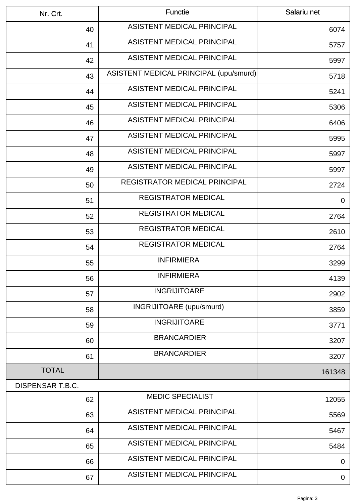| Nr. Crt.         | <b>Functie</b>                         | Salariu net |
|------------------|----------------------------------------|-------------|
| 40               | <b>ASISTENT MEDICAL PRINCIPAL</b>      | 6074        |
| 41               | <b>ASISTENT MEDICAL PRINCIPAL</b>      | 5757        |
| 42               | ASISTENT MEDICAL PRINCIPAL             | 5997        |
| 43               | ASISTENT MEDICAL PRINCIPAL (upu/smurd) | 5718        |
| 44               | <b>ASISTENT MEDICAL PRINCIPAL</b>      | 5241        |
| 45               | <b>ASISTENT MEDICAL PRINCIPAL</b>      | 5306        |
| 46               | <b>ASISTENT MEDICAL PRINCIPAL</b>      | 6406        |
| 47               | <b>ASISTENT MEDICAL PRINCIPAL</b>      | 5995        |
| 48               | ASISTENT MEDICAL PRINCIPAL             | 5997        |
| 49               | ASISTENT MEDICAL PRINCIPAL             | 5997        |
| 50               | <b>REGISTRATOR MEDICAL PRINCIPAL</b>   | 2724        |
| 51               | <b>REGISTRATOR MEDICAL</b>             | $\mathbf 0$ |
| 52               | <b>REGISTRATOR MEDICAL</b>             | 2764        |
| 53               | <b>REGISTRATOR MEDICAL</b>             | 2610        |
| 54               | REGISTRATOR MEDICAL                    | 2764        |
| 55               | <b>INFIRMIERA</b>                      | 3299        |
| 56               | <b>INFIRMIERA</b>                      | 4139        |
| 57               | <b>INGRIJITOARE</b>                    | 2902        |
| 58               | INGRIJITOARE (upu/smurd)               | 3859        |
| 59               | <b>INGRIJITOARE</b>                    | 3771        |
| 60               | <b>BRANCARDIER</b>                     | 3207        |
| 61               | <b>BRANCARDIER</b>                     | 3207        |
| <b>TOTAL</b>     |                                        | 161348      |
| DISPENSAR T.B.C. |                                        |             |
| 62               | <b>MEDIC SPECIALIST</b>                | 12055       |
| 63               | <b>ASISTENT MEDICAL PRINCIPAL</b>      | 5569        |
| 64               | <b>ASISTENT MEDICAL PRINCIPAL</b>      | 5467        |
| 65               | <b>ASISTENT MEDICAL PRINCIPAL</b>      | 5484        |
| 66               | ASISTENT MEDICAL PRINCIPAL             | $\mathbf 0$ |
| 67               | ASISTENT MEDICAL PRINCIPAL             | 0           |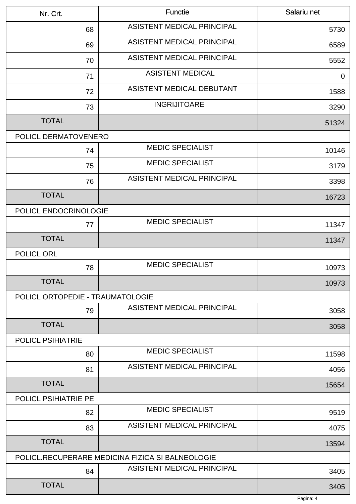| Nr. Crt.                         | <b>Functie</b>                                   | Salariu net |
|----------------------------------|--------------------------------------------------|-------------|
| 68                               | <b>ASISTENT MEDICAL PRINCIPAL</b>                | 5730        |
| 69                               | ASISTENT MEDICAL PRINCIPAL                       | 6589        |
| 70                               | ASISTENT MEDICAL PRINCIPAL                       | 5552        |
| 71                               | <b>ASISTENT MEDICAL</b>                          | $\mathbf 0$ |
| 72                               | ASISTENT MEDICAL DEBUTANT                        | 1588        |
| 73                               | <b>INGRIJITOARE</b>                              | 3290        |
| <b>TOTAL</b>                     |                                                  | 51324       |
| POLICL DERMATOVENERO             |                                                  |             |
| 74                               | <b>MEDIC SPECIALIST</b>                          | 10146       |
| 75                               | <b>MEDIC SPECIALIST</b>                          | 3179        |
| 76                               | ASISTENT MEDICAL PRINCIPAL                       | 3398        |
| <b>TOTAL</b>                     |                                                  | 16723       |
| POLICL ENDOCRINOLOGIE            |                                                  |             |
| 77                               | <b>MEDIC SPECIALIST</b>                          | 11347       |
| <b>TOTAL</b>                     |                                                  | 11347       |
| POLICL ORL                       |                                                  |             |
| 78                               | <b>MEDIC SPECIALIST</b>                          | 10973       |
| <b>TOTAL</b>                     |                                                  | 10973       |
| POLICL ORTOPEDIE - TRAUMATOLOGIE |                                                  |             |
| 79                               | ASISTENT MEDICAL PRINCIPAL                       | 3058        |
| <b>TOTAL</b>                     |                                                  | 3058        |
| <b>POLICL PSIHIATRIE</b>         |                                                  |             |
| 80                               | <b>MEDIC SPECIALIST</b>                          | 11598       |
| 81                               | ASISTENT MEDICAL PRINCIPAL                       | 4056        |
| <b>TOTAL</b>                     |                                                  | 15654       |
| <b>POLICL PSIHIATRIE PE</b>      |                                                  |             |
| 82                               | <b>MEDIC SPECIALIST</b>                          | 9519        |
| 83                               | ASISTENT MEDICAL PRINCIPAL                       | 4075        |
| <b>TOTAL</b>                     |                                                  | 13594       |
|                                  | POLICL.RECUPERARE MEDICINA FIZICA SI BALNEOLOGIE |             |
| 84                               | ASISTENT MEDICAL PRINCIPAL                       | 3405        |
| <b>TOTAL</b>                     |                                                  | 3405        |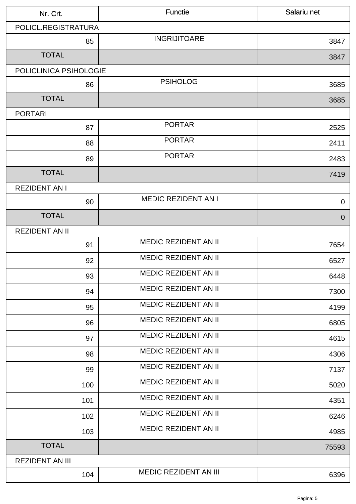| Nr. Crt.               | <b>Functie</b>               | Salariu net |
|------------------------|------------------------------|-------------|
| POLICL.REGISTRATURA    |                              |             |
| 85                     | <b>INGRIJITOARE</b>          | 3847        |
| <b>TOTAL</b>           |                              | 3847        |
| POLICLINICA PSIHOLOGIE |                              |             |
| 86                     | <b>PSIHOLOG</b>              | 3685        |
| <b>TOTAL</b>           |                              | 3685        |
| <b>PORTARI</b>         |                              |             |
| 87                     | <b>PORTAR</b>                | 2525        |
| 88                     | <b>PORTAR</b>                | 2411        |
| 89                     | <b>PORTAR</b>                | 2483        |
| <b>TOTAL</b>           |                              | 7419        |
| <b>REZIDENT AN I</b>   |                              |             |
| 90                     | <b>MEDIC REZIDENT AN I</b>   | $\mathbf 0$ |
| <b>TOTAL</b>           |                              | $\theta$    |
| <b>REZIDENT AN II</b>  |                              |             |
| 91                     | <b>MEDIC REZIDENT AN II</b>  | 7654        |
| 92                     | MEDIC REZIDENT AN II         | 6527        |
| 93                     | MEDIC REZIDENT AN II         | 6448        |
| 94                     | <b>MEDIC REZIDENT AN II</b>  | 7300        |
| 95                     | MEDIC REZIDENT AN II         | 4199        |
| 96                     | <b>MEDIC REZIDENT AN II</b>  | 6805        |
| 97                     | <b>MEDIC REZIDENT AN II</b>  | 4615        |
| 98                     | <b>MEDIC REZIDENT AN II</b>  | 4306        |
| 99                     | <b>MEDIC REZIDENT AN II</b>  | 7137        |
| 100                    | <b>MEDIC REZIDENT AN II</b>  | 5020        |
| 101                    | MEDIC REZIDENT AN II         | 4351        |
| 102                    | <b>MEDIC REZIDENT AN II</b>  | 6246        |
| 103                    | MEDIC REZIDENT AN II         | 4985        |
| <b>TOTAL</b>           |                              | 75593       |
| <b>REZIDENT AN III</b> |                              |             |
| 104                    | <b>MEDIC REZIDENT AN III</b> | 6396        |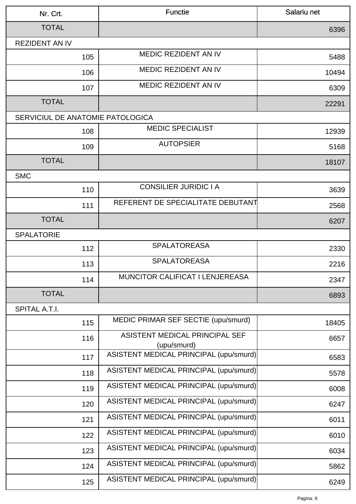| Nr. Crt.                         | <b>Functie</b>                                | Salariu net |
|----------------------------------|-----------------------------------------------|-------------|
| <b>TOTAL</b>                     |                                               | 6396        |
| <b>REZIDENT AN IV</b>            |                                               |             |
| 105                              | <b>MEDIC REZIDENT AN IV</b>                   | 5488        |
| 106                              | MEDIC REZIDENT AN IV                          | 10494       |
| 107                              | <b>MEDIC REZIDENT AN IV</b>                   | 6309        |
| <b>TOTAL</b>                     |                                               | 22291       |
| SERVICIUL DE ANATOMIE PATOLOGICA |                                               |             |
| 108                              | <b>MEDIC SPECIALIST</b>                       | 12939       |
| 109                              | <b>AUTOPSIER</b>                              | 5168        |
| <b>TOTAL</b>                     |                                               | 18107       |
| <b>SMC</b>                       |                                               |             |
| 110                              | <b>CONSILIER JURIDIC I A</b>                  | 3639        |
| 111                              | REFERENT DE SPECIALITATE DEBUTANT             | 2568        |
| <b>TOTAL</b>                     |                                               | 6207        |
| <b>SPALATORIE</b>                |                                               |             |
| 112                              | <b>SPALATOREASA</b>                           | 2330        |
| 113                              | <b>SPALATOREASA</b>                           | 2216        |
| 114                              | <b>MUNCITOR CALIFICAT I LENJEREASA</b>        | 2347        |
| <b>TOTAL</b>                     |                                               | 6893        |
| SPITAL A.T.I.                    |                                               |             |
| 115                              | MEDIC PRIMAR SEF SECTIE (upu/smurd)           | 18405       |
| 116                              | ASISTENT MEDICAL PRINCIPAL SEF<br>(upu/smurd) | 6657        |
| 117                              | ASISTENT MEDICAL PRINCIPAL (upu/smurd)        | 6583        |
| 118                              | ASISTENT MEDICAL PRINCIPAL (upu/smurd)        | 5578        |
| 119                              | ASISTENT MEDICAL PRINCIPAL (upu/smurd)        | 6008        |
| 120                              | ASISTENT MEDICAL PRINCIPAL (upu/smurd)        | 6247        |
| 121                              | ASISTENT MEDICAL PRINCIPAL (upu/smurd)        | 6011        |
| 122                              | ASISTENT MEDICAL PRINCIPAL (upu/smurd)        | 6010        |
| 123                              | ASISTENT MEDICAL PRINCIPAL (upu/smurd)        | 6034        |
| 124                              | ASISTENT MEDICAL PRINCIPAL (upu/smurd)        | 5862        |
| 125                              | ASISTENT MEDICAL PRINCIPAL (upu/smurd)        | 6249        |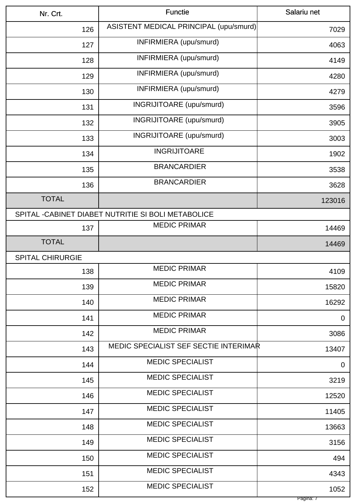| Nr. Crt.                | <b>Functie</b>                                      | Salariu net |
|-------------------------|-----------------------------------------------------|-------------|
| 126                     | ASISTENT MEDICAL PRINCIPAL (upu/smurd)              | 7029        |
| 127                     | INFIRMIERA (upu/smurd)                              | 4063        |
| 128                     | INFIRMIERA (upu/smurd)                              | 4149        |
| 129                     | INFIRMIERA (upu/smurd)                              | 4280        |
| 130                     | INFIRMIERA (upu/smurd)                              | 4279        |
| 131                     | INGRIJITOARE (upu/smurd)                            | 3596        |
| 132                     | INGRIJITOARE (upu/smurd)                            | 3905        |
| 133                     | <b>INGRIJITOARE</b> (upu/smurd)                     | 3003        |
| 134                     | <b>INGRIJITOARE</b>                                 | 1902        |
| 135                     | <b>BRANCARDIER</b>                                  | 3538        |
| 136                     | <b>BRANCARDIER</b>                                  | 3628        |
| <b>TOTAL</b>            |                                                     | 123016      |
|                         | SPITAL - CABINET DIABET NUTRITIE SI BOLI METABOLICE |             |
| 137                     | <b>MEDIC PRIMAR</b>                                 | 14469       |
| <b>TOTAL</b>            |                                                     | 14469       |
| <b>SPITAL CHIRURGIE</b> |                                                     |             |
| 138                     | <b>MEDIC PRIMAR</b>                                 | 4109        |
| 139                     | <b>MEDIC PRIMAR</b>                                 | 15820       |
| 140                     | <b>MEDIC PRIMAR</b>                                 | 16292       |
| 141                     | <b>MEDIC PRIMAR</b>                                 | $\mathbf 0$ |
| 142                     | <b>MEDIC PRIMAR</b>                                 | 3086        |
| 143                     | MEDIC SPECIALIST SEF SECTIE INTERIMAR               | 13407       |
| 144                     | <b>MEDIC SPECIALIST</b>                             | $\mathbf 0$ |
| 145                     | <b>MEDIC SPECIALIST</b>                             | 3219        |
| 146                     | <b>MEDIC SPECIALIST</b>                             | 12520       |
| 147                     | <b>MEDIC SPECIALIST</b>                             | 11405       |
| 148                     | <b>MEDIC SPECIALIST</b>                             | 13663       |
| 149                     | <b>MEDIC SPECIALIST</b>                             | 3156        |
| 150                     | <b>MEDIC SPECIALIST</b>                             | 494         |
| 151                     | <b>MEDIC SPECIALIST</b>                             | 4343        |
| 152                     | <b>MEDIC SPECIALIST</b>                             | 1052        |
|                         |                                                     | Pagina: 7   |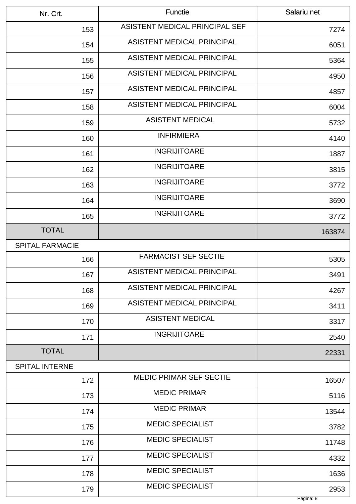| Nr. Crt.               | <b>Functie</b>                    | Salariu net |
|------------------------|-----------------------------------|-------------|
| 153                    | ASISTENT MEDICAL PRINCIPAL SEF    | 7274        |
| 154                    | ASISTENT MEDICAL PRINCIPAL        | 6051        |
| 155                    | <b>ASISTENT MEDICAL PRINCIPAL</b> | 5364        |
| 156                    | ASISTENT MEDICAL PRINCIPAL        | 4950        |
| 157                    | ASISTENT MEDICAL PRINCIPAL        | 4857        |
| 158                    | <b>ASISTENT MEDICAL PRINCIPAL</b> | 6004        |
| 159                    | <b>ASISTENT MEDICAL</b>           | 5732        |
| 160                    | <b>INFIRMIERA</b>                 | 4140        |
| 161                    | <b>INGRIJITOARE</b>               | 1887        |
| 162                    | <b>INGRIJITOARE</b>               | 3815        |
| 163                    | <b>INGRIJITOARE</b>               | 3772        |
| 164                    | <b>INGRIJITOARE</b>               | 3690        |
| 165                    | <b>INGRIJITOARE</b>               | 3772        |
| <b>TOTAL</b>           |                                   | 163874      |
| <b>SPITAL FARMACIE</b> |                                   |             |
| 166                    | <b>FARMACIST SEF SECTIE</b>       | 5305        |
| 167                    | <b>ASISTENT MEDICAL PRINCIPAL</b> | 3491        |
| 168                    | ASISTENT MEDICAL PRINCIPAL        | 4267        |
| 169                    | ASISTENT MEDICAL PRINCIPAL        | 3411        |
| 170                    | <b>ASISTENT MEDICAL</b>           | 3317        |
| 171                    | <b>INGRIJITOARE</b>               | 2540        |
| <b>TOTAL</b>           |                                   | 22331       |
| <b>SPITAL INTERNE</b>  |                                   |             |
| 172                    | <b>MEDIC PRIMAR SEF SECTIE</b>    | 16507       |
| 173                    | <b>MEDIC PRIMAR</b>               | 5116        |
| 174                    | <b>MEDIC PRIMAR</b>               | 13544       |
| 175                    | <b>MEDIC SPECIALIST</b>           | 3782        |
| 176                    | <b>MEDIC SPECIALIST</b>           | 11748       |
| 177                    | <b>MEDIC SPECIALIST</b>           | 4332        |
| 178                    | <b>MEDIC SPECIALIST</b>           | 1636        |
| 179                    | <b>MEDIC SPECIALIST</b>           | 2953        |
|                        |                                   | Pagina: 8   |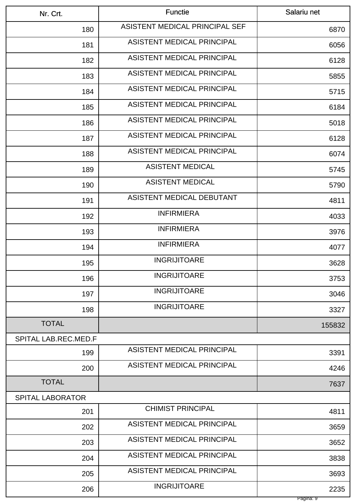| Nr. Crt.                    | <b>Functie</b>                    | Salariu net |
|-----------------------------|-----------------------------------|-------------|
| 180                         | ASISTENT MEDICAL PRINCIPAL SEF    | 6870        |
| 181                         | ASISTENT MEDICAL PRINCIPAL        | 6056        |
| 182                         | ASISTENT MEDICAL PRINCIPAL        | 6128        |
| 183                         | ASISTENT MEDICAL PRINCIPAL        | 5855        |
| 184                         | ASISTENT MEDICAL PRINCIPAL        | 5715        |
| 185                         | <b>ASISTENT MEDICAL PRINCIPAL</b> | 6184        |
| 186                         | ASISTENT MEDICAL PRINCIPAL        | 5018        |
| 187                         | ASISTENT MEDICAL PRINCIPAL        | 6128        |
| 188                         | ASISTENT MEDICAL PRINCIPAL        | 6074        |
| 189                         | <b>ASISTENT MEDICAL</b>           | 5745        |
| 190                         | <b>ASISTENT MEDICAL</b>           | 5790        |
| 191                         | ASISTENT MEDICAL DEBUTANT         | 4811        |
| 192                         | <b>INFIRMIERA</b>                 | 4033        |
| 193                         | <b>INFIRMIERA</b>                 | 3976        |
| 194                         | <b>INFIRMIERA</b>                 | 4077        |
| 195                         | <b>INGRIJITOARE</b>               | 3628        |
| 196                         | <b>INGRIJITOARE</b>               | 3753        |
| 197                         | <b>INGRIJITOARE</b>               | 3046        |
| 198                         | <b>INGRIJITOARE</b>               | 3327        |
| <b>TOTAL</b>                |                                   | 155832      |
| <b>SPITAL LAB.REC.MED.F</b> |                                   |             |
| 199                         | ASISTENT MEDICAL PRINCIPAL        | 3391        |
| 200                         | ASISTENT MEDICAL PRINCIPAL        | 4246        |
| <b>TOTAL</b>                |                                   | 7637        |
| <b>SPITAL LABORATOR</b>     |                                   |             |
| 201                         | <b>CHIMIST PRINCIPAL</b>          | 4811        |
| 202                         | ASISTENT MEDICAL PRINCIPAL        | 3659        |
| 203                         | ASISTENT MEDICAL PRINCIPAL        | 3652        |
| 204                         | ASISTENT MEDICAL PRINCIPAL        | 3838        |
| 205                         | ASISTENT MEDICAL PRINCIPAL        | 3693        |
| 206                         | <b>INGRIJITOARE</b>               | 2235        |
|                             |                                   | Pagina: 9   |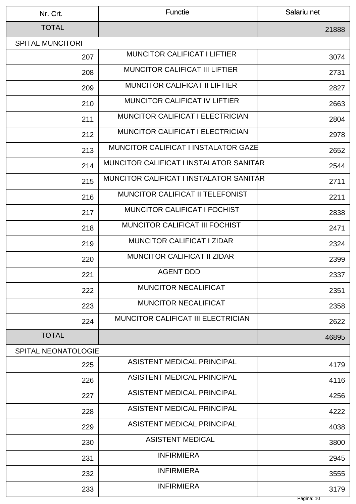| Nr. Crt.                | <b>Functie</b>                              | Salariu net |
|-------------------------|---------------------------------------------|-------------|
| <b>TOTAL</b>            |                                             | 21888       |
| <b>SPITAL MUNCITORI</b> |                                             |             |
| 207                     | <b>MUNCITOR CALIFICAT I LIFTIER</b>         | 3074        |
| 208                     | <b>MUNCITOR CALIFICAT III LIFTIER</b>       | 2731        |
| 209                     | <b>MUNCITOR CALIFICAT II LIFTIER</b>        | 2827        |
| 210                     | <b>MUNCITOR CALIFICAT IV LIFTIER</b>        | 2663        |
| 211                     | <b>MUNCITOR CALIFICAT I ELECTRICIAN</b>     | 2804        |
| 212                     | <b>MUNCITOR CALIFICAT I ELECTRICIAN</b>     | 2978        |
| 213                     | <b>MUNCITOR CALIFICAT I INSTALATOR GAZE</b> | 2652        |
| 214                     | MUNCITOR CALIFICAT I INSTALATOR SANITAR     | 2544        |
| 215                     | MUNCITOR CALIFICAT I INSTALATOR SANITAR     | 2711        |
| 216                     | MUNCITOR CALIFICAT II TELEFONIST            | 2211        |
| 217                     | <b>MUNCITOR CALIFICAT I FOCHIST</b>         | 2838        |
| 218                     | <b>MUNCITOR CALIFICAT III FOCHIST</b>       | 2471        |
| 219                     | <b>MUNCITOR CALIFICAT I ZIDAR</b>           | 2324        |
| 220                     | <b>MUNCITOR CALIFICAT II ZIDAR</b>          | 2399        |
| 221                     | <b>AGENT DDD</b>                            | 2337        |
| 222                     | <b>MUNCITOR NECALIFICAT</b>                 | 2351        |
| 223                     | <b>MUNCITOR NECALIFICAT</b>                 | 2358        |
| 224                     | MUNCITOR CALIFICAT III ELECTRICIAN          | 2622        |
| <b>TOTAL</b>            |                                             | 46895       |
| SPITAL NEONATOLOGIE     |                                             |             |
| 225                     | <b>ASISTENT MEDICAL PRINCIPAL</b>           | 4179        |
| 226                     | ASISTENT MEDICAL PRINCIPAL                  | 4116        |
| 227                     | ASISTENT MEDICAL PRINCIPAL                  | 4256        |
| 228                     | ASISTENT MEDICAL PRINCIPAL                  | 4222        |
| 229                     | ASISTENT MEDICAL PRINCIPAL                  | 4038        |
| 230                     | <b>ASISTENT MEDICAL</b>                     | 3800        |
| 231                     | <b>INFIRMIERA</b>                           | 2945        |
| 232                     | <b>INFIRMIERA</b>                           | 3555        |
| 233                     | <b>INFIRMIERA</b>                           | 3179        |
|                         |                                             | Pagina: 10  |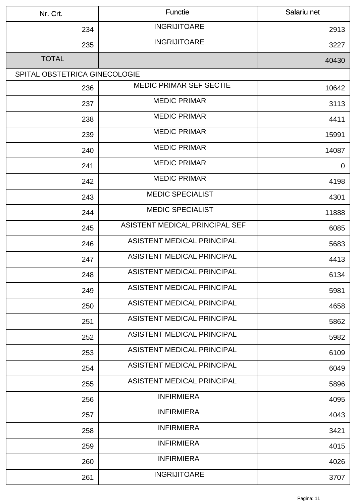| Nr. Crt.                      | <b>Functie</b>                 | Salariu net    |
|-------------------------------|--------------------------------|----------------|
| 234                           | <b>INGRIJITOARE</b>            | 2913           |
| 235                           | <b>INGRIJITOARE</b>            | 3227           |
| <b>TOTAL</b>                  |                                | 40430          |
| SPITAL OBSTETRICA GINECOLOGIE |                                |                |
| 236                           | <b>MEDIC PRIMAR SEF SECTIE</b> | 10642          |
| 237                           | <b>MEDIC PRIMAR</b>            | 3113           |
| 238                           | <b>MEDIC PRIMAR</b>            | 4411           |
| 239                           | <b>MEDIC PRIMAR</b>            | 15991          |
| 240                           | <b>MEDIC PRIMAR</b>            | 14087          |
| 241                           | <b>MEDIC PRIMAR</b>            | $\overline{0}$ |
| 242                           | <b>MEDIC PRIMAR</b>            | 4198           |
| 243                           | <b>MEDIC SPECIALIST</b>        | 4301           |
| 244                           | <b>MEDIC SPECIALIST</b>        | 11888          |
| 245                           | ASISTENT MEDICAL PRINCIPAL SEF | 6085           |
| 246                           | ASISTENT MEDICAL PRINCIPAL     | 5683           |
| 247                           | ASISTENT MEDICAL PRINCIPAL     | 4413           |
| 248                           | ASISTENT MEDICAL PRINCIPAL     | 6134           |
| 249                           | ASISTENT MEDICAL PRINCIPAL     | 5981           |
| 250                           | ASISTENT MEDICAL PRINCIPAL     | 4658           |
| 251                           | ASISTENT MEDICAL PRINCIPAL     | 5862           |
| 252                           | ASISTENT MEDICAL PRINCIPAL     | 5982           |
| 253                           | ASISTENT MEDICAL PRINCIPAL     | 6109           |
| 254                           | ASISTENT MEDICAL PRINCIPAL     | 6049           |
| 255                           | ASISTENT MEDICAL PRINCIPAL     | 5896           |
| 256                           | <b>INFIRMIERA</b>              | 4095           |
| 257                           | <b>INFIRMIERA</b>              | 4043           |
| 258                           | <b>INFIRMIERA</b>              | 3421           |
| 259                           | <b>INFIRMIERA</b>              | 4015           |
| 260                           | <b>INFIRMIERA</b>              | 4026           |
| 261                           | <b>INGRIJITOARE</b>            | 3707           |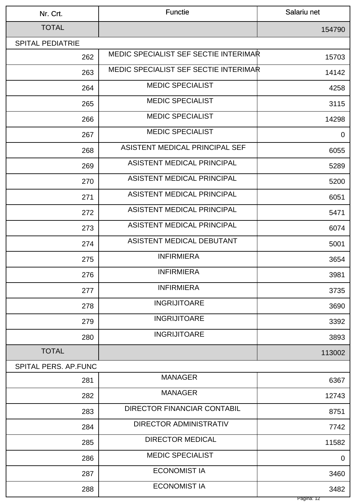| Nr. Crt.                | <b>Functie</b>                               | Salariu net        |
|-------------------------|----------------------------------------------|--------------------|
| <b>TOTAL</b>            |                                              | 154790             |
| <b>SPITAL PEDIATRIE</b> |                                              |                    |
| 262                     | <b>MEDIC SPECIALIST SEF SECTIE INTERIMAR</b> | 15703              |
| 263                     | <b>MEDIC SPECIALIST SEF SECTIE INTERIMAR</b> | 14142              |
| 264                     | <b>MEDIC SPECIALIST</b>                      | 4258               |
| 265                     | <b>MEDIC SPECIALIST</b>                      | 3115               |
| 266                     | <b>MEDIC SPECIALIST</b>                      | 14298              |
| 267                     | <b>MEDIC SPECIALIST</b>                      | $\mathbf 0$        |
| 268                     | ASISTENT MEDICAL PRINCIPAL SEF               | 6055               |
| 269                     | ASISTENT MEDICAL PRINCIPAL                   | 5289               |
| 270                     | ASISTENT MEDICAL PRINCIPAL                   | 5200               |
| 271                     | <b>ASISTENT MEDICAL PRINCIPAL</b>            | 6051               |
| 272                     | ASISTENT MEDICAL PRINCIPAL                   | 5471               |
| 273                     | ASISTENT MEDICAL PRINCIPAL                   | 6074               |
| 274                     | ASISTENT MEDICAL DEBUTANT                    | 5001               |
| 275                     | <b>INFIRMIERA</b>                            | 3654               |
| 276                     | <b>INFIRMIERA</b>                            | 3981               |
| 277                     | <b>INFIRMIERA</b>                            | 3735               |
| 278                     | <b>INGRIJITOARE</b>                          | 3690               |
| 279                     | <b>INGRIJITOARE</b>                          | 3392               |
| 280                     | <b>INGRIJITOARE</b>                          | 3893               |
| <b>TOTAL</b>            |                                              | 113002             |
| SPITAL PERS. AP.FUNC    |                                              |                    |
| 281                     | <b>MANAGER</b>                               | 6367               |
| 282                     | <b>MANAGER</b>                               | 12743              |
| 283                     | <b>DIRECTOR FINANCIAR CONTABIL</b>           | 8751               |
| 284                     | <b>DIRECTOR ADMINISTRATIV</b>                | 7742               |
| 285                     | <b>DIRECTOR MEDICAL</b>                      | 11582              |
| 286                     | <b>MEDIC SPECIALIST</b>                      | $\mathbf 0$        |
| 287                     | <b>ECONOMIST IA</b>                          | 3460               |
| 288                     | <b>ECONOMIST IA</b>                          | 3482<br>Pagina: 12 |